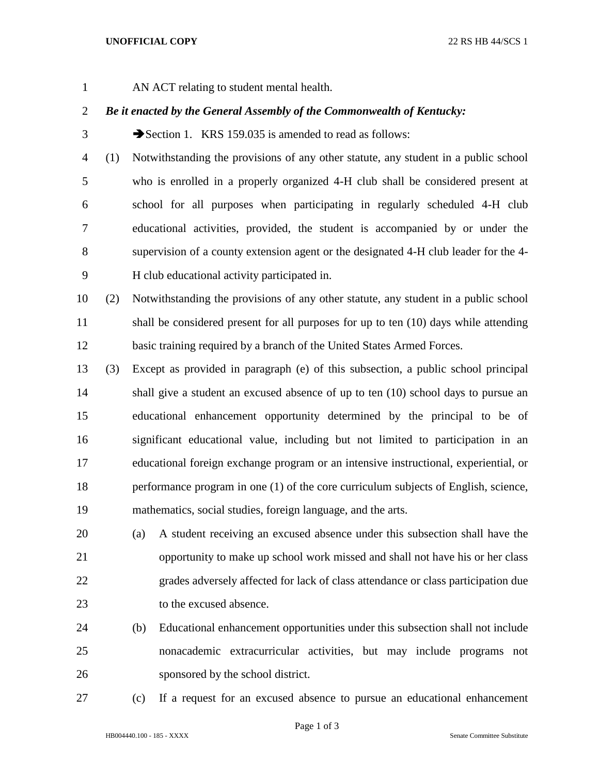- 
- AN ACT relating to student mental health.

## *Be it enacted by the General Assembly of the Commonwealth of Kentucky:*

3 Section 1. KRS 159.035 is amended to read as follows:

- (1) Notwithstanding the provisions of any other statute, any student in a public school who is enrolled in a properly organized 4-H club shall be considered present at school for all purposes when participating in regularly scheduled 4-H club educational activities, provided, the student is accompanied by or under the supervision of a county extension agent or the designated 4-H club leader for the 4- H club educational activity participated in.
- (2) Notwithstanding the provisions of any other statute, any student in a public school 11 shall be considered present for all purposes for up to ten (10) days while attending basic training required by a branch of the United States Armed Forces.
- (3) Except as provided in paragraph (e) of this subsection, a public school principal shall give a student an excused absence of up to ten (10) school days to pursue an educational enhancement opportunity determined by the principal to be of significant educational value, including but not limited to participation in an educational foreign exchange program or an intensive instructional, experiential, or performance program in one (1) of the core curriculum subjects of English, science, mathematics, social studies, foreign language, and the arts.
- (a) A student receiving an excused absence under this subsection shall have the opportunity to make up school work missed and shall not have his or her class grades adversely affected for lack of class attendance or class participation due to the excused absence.
- (b) Educational enhancement opportunities under this subsection shall not include nonacademic extracurricular activities, but may include programs not sponsored by the school district.
- 

(c) If a request for an excused absence to pursue an educational enhancement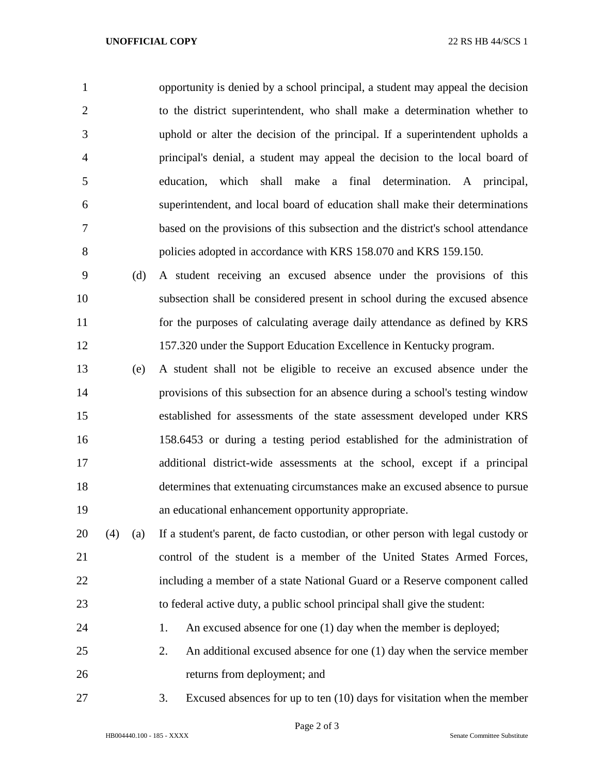opportunity is denied by a school principal, a student may appeal the decision to the district superintendent, who shall make a determination whether to uphold or alter the decision of the principal. If a superintendent upholds a principal's denial, a student may appeal the decision to the local board of education, which shall make a final determination. A principal, superintendent, and local board of education shall make their determinations based on the provisions of this subsection and the district's school attendance policies adopted in accordance with KRS 158.070 and KRS 159.150.

 (d) A student receiving an excused absence under the provisions of this subsection shall be considered present in school during the excused absence for the purposes of calculating average daily attendance as defined by KRS 157.320 under the Support Education Excellence in Kentucky program.

 (e) A student shall not be eligible to receive an excused absence under the provisions of this subsection for an absence during a school's testing window established for assessments of the state assessment developed under KRS 158.6453 or during a testing period established for the administration of additional district-wide assessments at the school, except if a principal determines that extenuating circumstances make an excused absence to pursue an educational enhancement opportunity appropriate.

 (4) (a) If a student's parent, de facto custodian, or other person with legal custody or control of the student is a member of the United States Armed Forces, including a member of a state National Guard or a Reserve component called to federal active duty, a public school principal shall give the student:

24 1. An excused absence for one (1) day when the member is deployed;

 2. An additional excused absence for one (1) day when the service member returns from deployment; and

3. Excused absences for up to ten (10) days for visitation when the member